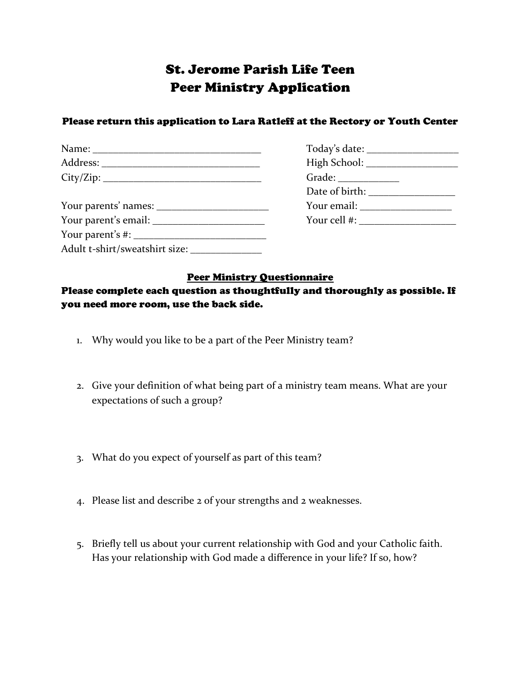## St. Jerome Parish Life Teen Peer Ministry Application

## Please return this application to Lara Ratleff at the Rectory or Youth Center

|                                | Your email: $\frac{1}{2}$ $\frac{1}{2}$ $\frac{1}{2}$ $\frac{1}{2}$ $\frac{1}{2}$ $\frac{1}{2}$ $\frac{1}{2}$ $\frac{1}{2}$ $\frac{1}{2}$ $\frac{1}{2}$ $\frac{1}{2}$ $\frac{1}{2}$ $\frac{1}{2}$ $\frac{1}{2}$ $\frac{1}{2}$ $\frac{1}{2}$ $\frac{1}{2}$ $\frac{1}{2}$ $\frac{1}{2}$ $\frac{1}{2}$ $\frac{1}{2}$ |
|--------------------------------|-------------------------------------------------------------------------------------------------------------------------------------------------------------------------------------------------------------------------------------------------------------------------------------------------------------------|
|                                | Your cell #: $\frac{1}{2}$ = $\frac{1}{2}$ = $\frac{1}{2}$ = $\frac{1}{2}$ = $\frac{1}{2}$ = $\frac{1}{2}$ = $\frac{1}{2}$ = $\frac{1}{2}$ = $\frac{1}{2}$ = $\frac{1}{2}$ = $\frac{1}{2}$ = $\frac{1}{2}$ = $\frac{1}{2}$ = $\frac{1}{2}$ = $\frac{1}{2}$ = $\frac{1}{2}$ = $\frac{1}{2}$ = $\frac{$             |
|                                |                                                                                                                                                                                                                                                                                                                   |
| Adult t-shirt/sweatshirt size: |                                                                                                                                                                                                                                                                                                                   |

## Peer Ministry Questionnaire

## Please complete each question as thoughtfully and thoroughly as possible. If you need more room, use the back side.

- 1. Why would you like to be a part of the Peer Ministry team?
- 2. Give your definition of what being part of a ministry team means. What are your expectations of such a group?
- 3. What do you expect of yourself as part of this team?
- 4. Please list and describe 2 of your strengths and 2 weaknesses.
- 5. Briefly tell us about your current relationship with God and your Catholic faith. Has your relationship with God made a difference in your life? If so, how?